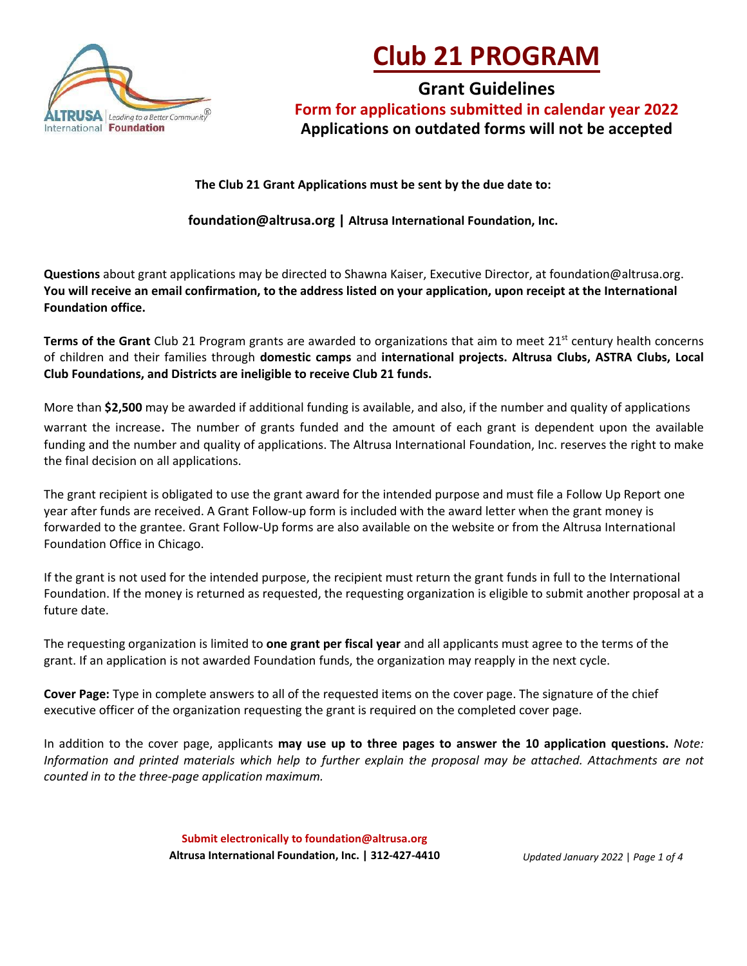

# **Club 21 PROGRAM**

**Grant Guidelines Form for applications submitted in calendar year 2022 Applications on outdated forms will not be accepted**

**The Club 21 Grant Applications must be sent by the due date to:**

**[foundation@altrusa.org |](mailto:foundation@altrusa.org) Altrusa International Foundation, Inc.**

**Questions** about grant applications may be directed to Shawna Kaiser, Executive Director, at foundation@altrusa.org. **You will receive an email confirmation, to the address listed on your application, upon receipt at the International Foundation office.** 

**Terms of the Grant** Club 21 Program grants are awarded to organizations that aim to meet 21<sup>st</sup> century health concerns of children and their families through **domestic camps** and **international projects. Altrusa Clubs, ASTRA Clubs, Local Club Foundations, and Districts are ineligible to receive Club 21 funds.** 

More than **\$2,500** may be awarded if additional funding is available, and also, if the number and quality of applications warrant the increase. The number of grants funded and the amount of each grant is dependent upon the available funding and the number and quality of applications. The Altrusa International Foundation, Inc. reserves the right to make the final decision on all applications.

The grant recipient is obligated to use the grant award for the intended purpose and must file a Follow Up Report one year after funds are received. A Grant Follow-up form is included with the award letter when the grant money is forwarded to the grantee. Grant Follow-Up forms are also available on the website or from the Altrusa International Foundation Office in Chicago.

If the grant is not used for the intended purpose, the recipient must return the grant funds in full to the International Foundation. If the money is returned as requested, the requesting organization is eligible to submit another proposal at a future date.

The requesting organization is limited to **one grant per fiscal year** and all applicants must agree to the terms of the grant. If an application is not awarded Foundation funds, the organization may reapply in the next cycle.

**Cover Page:** Type in complete answers to all of the requested items on the cover page. The signature of the chief executive officer of the organization requesting the grant is required on the completed cover page.

In addition to the cover page, applicants **may use up to three pages to answer the 10 application questions.** *Note: Information and printed materials which help to further explain the proposal may be attached. Attachments are not counted in to the three-page application maximum.* 

> **Submit electronically to foundation@altrusa.org Altrusa International Foundation, Inc. | 312-427-4410**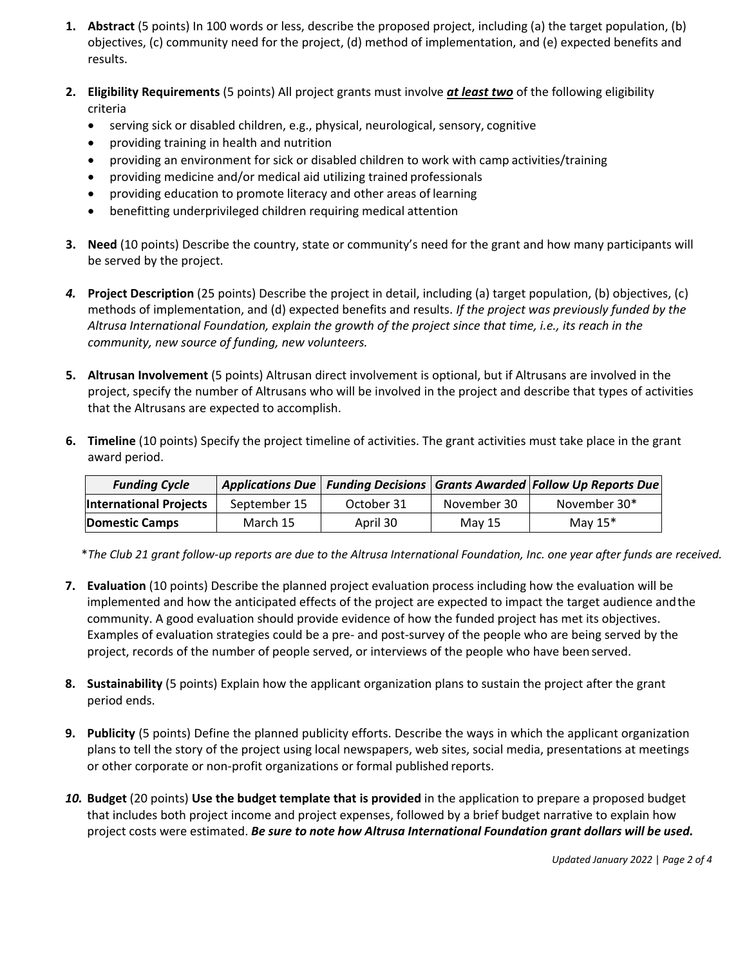- **1. Abstract** (5 points) In 100 words or less, describe the proposed project, including (a) the target population, (b) objectives, (c) community need for the project, (d) method of implementation, and (e) expected benefits and results.
- **2. Eligibility Requirements** (5 points) All project grants must involve *at least two* of the following eligibility criteria
	- serving sick or disabled children, e.g., physical, neurological, sensory, cognitive
	- providing training in health and nutrition
	- providing an environment for sick or disabled children to work with camp activities/training
	- providing medicine and/or medical aid utilizing trained professionals
	- providing education to promote literacy and other areas of learning
	- benefitting underprivileged children requiring medical attention
- **3. Need** (10 points) Describe the country, state or community's need for the grant and how many participants will be served by the project.
- *4.* **Project Description** (25 points) Describe the project in detail, including (a) target population, (b) objectives, (c) methods of implementation, and (d) expected benefits and results. *If the project was previously funded by the Altrusa International Foundation, explain the growth of the project since that time, i.e., its reach in the community, new source of funding, new volunteers.*
- **5. Altrusan Involvement** (5 points) Altrusan direct involvement is optional, but if Altrusans are involved in the project, specify the number of Altrusans who will be involved in the project and describe that types of activities that the Altrusans are expected to accomplish.
- **6. Timeline** (10 points) Specify the project timeline of activities. The grant activities must take place in the grant award period.

| <b>Funding Cycle</b>          |              |            |             | Applications Due   Funding Decisions   Grants Awarded   Follow Up Reports Due |
|-------------------------------|--------------|------------|-------------|-------------------------------------------------------------------------------|
| <b>International Projects</b> | September 15 | October 31 | November 30 | November 30*                                                                  |
| <b>Domestic Camps</b>         | March 15     | April 30   | May 15      | May $15^*$                                                                    |

\**The Club 21 grant follow-up reports are due to the Altrusa International Foundation, Inc. one year after funds are received.*

- **7. Evaluation** (10 points) Describe the planned project evaluation process including how the evaluation will be implemented and how the anticipated effects of the project are expected to impact the target audience andthe community. A good evaluation should provide evidence of how the funded project has met its objectives. Examples of evaluation strategies could be a pre- and post-survey of the people who are being served by the project, records of the number of people served, or interviews of the people who have been served.
- **8. Sustainability** (5 points) Explain how the applicant organization plans to sustain the project after the grant period ends.
- **9. Publicity** (5 points) Define the planned publicity efforts. Describe the ways in which the applicant organization plans to tell the story of the project using local newspapers, web sites, social media, presentations at meetings or other corporate or non-profit organizations or formal published reports.
- *10.* **Budget** (20 points) **Use the budget template that is provided** in the application to prepare a proposed budget that includes both project income and project expenses, followed by a brief budget narrative to explain how project costs were estimated. *Be sure to note how Altrusa International Foundation grant dollars will be used.*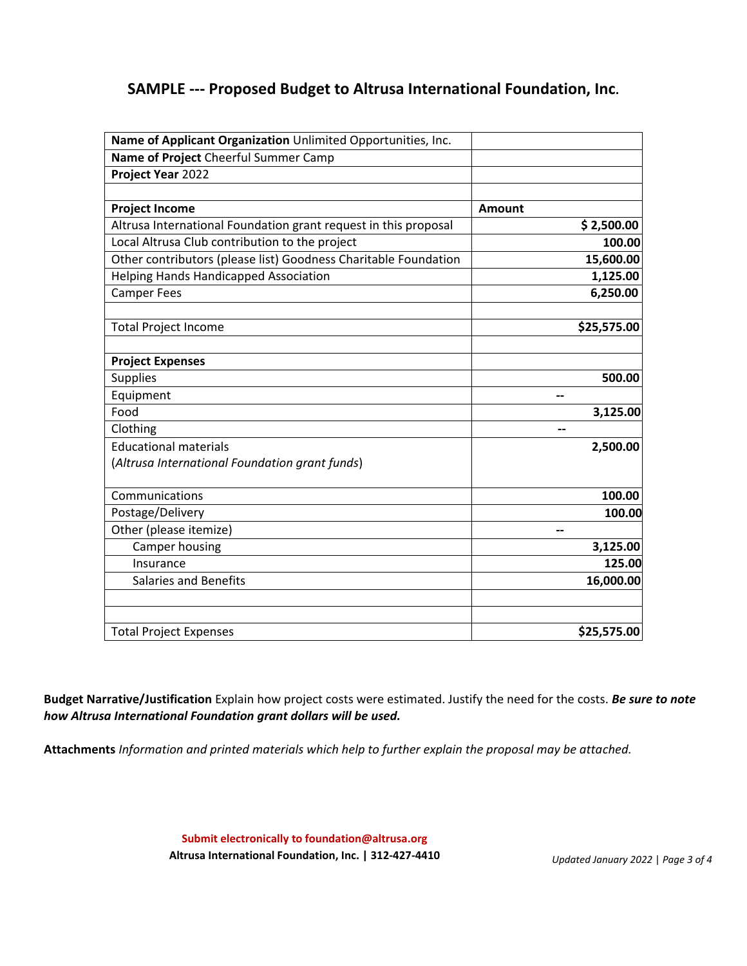## **SAMPLE --- Proposed Budget to Altrusa International Foundation, Inc.**

| Name of Applicant Organization Unlimited Opportunities, Inc.                   |               |
|--------------------------------------------------------------------------------|---------------|
| Name of Project Cheerful Summer Camp                                           |               |
| Project Year 2022                                                              |               |
|                                                                                |               |
| <b>Project Income</b>                                                          | <b>Amount</b> |
| Altrusa International Foundation grant request in this proposal                | \$2,500.00    |
| Local Altrusa Club contribution to the project                                 | 100.00        |
| Other contributors (please list) Goodness Charitable Foundation                | 15,600.00     |
| <b>Helping Hands Handicapped Association</b>                                   | 1,125.00      |
| <b>Camper Fees</b>                                                             | 6,250.00      |
| <b>Total Project Income</b>                                                    | \$25,575.00   |
|                                                                                |               |
| <b>Project Expenses</b>                                                        |               |
| <b>Supplies</b>                                                                | 500.00        |
| Equipment                                                                      |               |
| Food                                                                           | 3,125.00      |
| Clothing                                                                       | --            |
| <b>Educational materials</b><br>(Altrusa International Foundation grant funds) | 2,500.00      |
| Communications                                                                 | 100.00        |
| Postage/Delivery                                                               | 100.00        |
| Other (please itemize)                                                         | --            |
| Camper housing                                                                 | 3,125.00      |
| Insurance                                                                      | 125.00        |
| <b>Salaries and Benefits</b>                                                   | 16,000.00     |
| <b>Total Project Expenses</b>                                                  | \$25,575.00   |

**Budget Narrative/Justification** Explain how project costs were estimated. Justify the need for the costs. *Be sure to note how Altrusa International Foundation grant dollars will be used.*

**Attachments** *Information and printed materials which help to further explain the proposal may be attached.*

**Submit electronically to foundation@altrusa.org Altrusa International Foundation, Inc. | 312-427-4410**